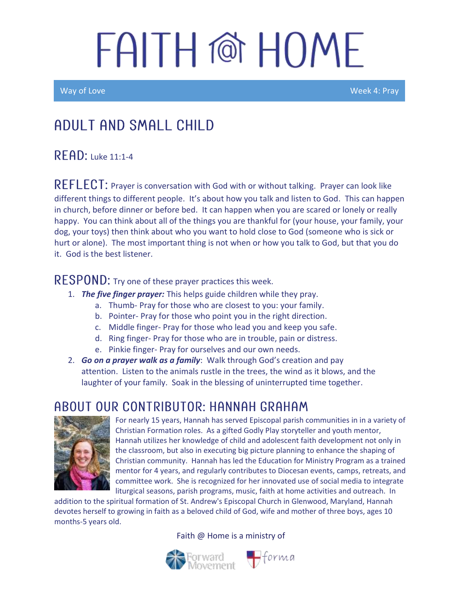# FAITH @ HOME

Way of Love Week 4: Pray

### Adult and Small Child

#### $R$  $F$  $AD:$  Luke 11:1-4

REFLECT: Prayer is conversation with God with or without talking. Prayer can look like different things to different people. It's about how you talk and listen to God. This can happen in church, before dinner or before bed. It can happen when you are scared or lonely or really happy. You can think about all of the things you are thankful for (your house, your family, your dog, your toys) then think about who you want to hold close to God (someone who is sick or hurt or alone). The most important thing is not when or how you talk to God, but that you do it. God is the best listener.

#### RESPOND: Try one of these prayer practices this week.

- 1. *The five finger prayer:* This helps guide children while they pray.
	- a. Thumb- Pray for those who are closest to you: your family.
	- b. Pointer- Pray for those who point you in the right direction.
	- c. Middle finger- Pray for those who lead you and keep you safe.
	- d. Ring finger- Pray for those who are in trouble, pain or distress.
	- e. Pinkie finger- Pray for ourselves and our own needs.
- 2. *Go on a prayer walk as a family*: Walk through God's creation and pay attention. Listen to the animals rustle in the trees, the wind as it blows, and the laughter of your family. Soak in the blessing of uninterrupted time together.

### ABOUT OUR CONTRIBUTOR: HANNAH GRAHAM



For nearly 15 years, Hannah has served Episcopal parish communities in in a variety of Christian Formation roles. As a gifted Godly Play storyteller and youth mentor, Hannah utilizes her knowledge of child and adolescent faith development not only in the classroom, but also in executing big picture planning to enhance the shaping of Christian community. Hannah has led the Education for Ministry Program as a trained mentor for 4 years, and regularly contributes to Diocesan events, camps, retreats, and committee work. She is recognized for her innovated use of social media to integrate liturgical seasons, parish programs, music, faith at home activities and outreach. In

addition to the spiritual formation of St. Andrew's Episcopal Church in Glenwood, Maryland, Hannah devotes herself to growing in faith as a beloved child of God, wife and mother of three boys, ages 10 months-5 years old.

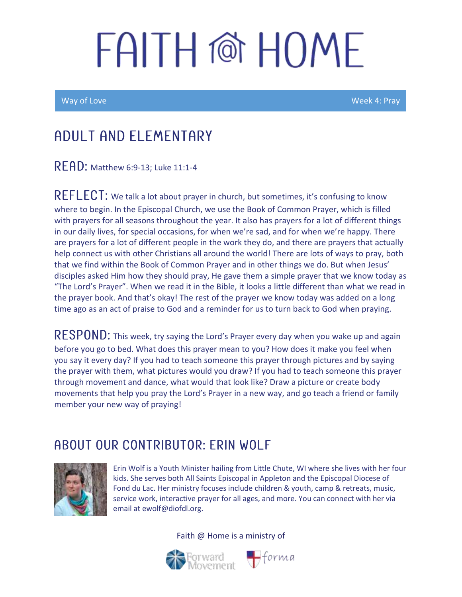# FAITH @ HOMF

Way of Love Week 4: Pray

### Adult and elementary

READ: Matthew 6:9-13; Luke 11:1-4

 $REFLECT:$  We talk a lot about prayer in church, but sometimes, it's confusing to know where to begin. In the Episcopal Church, we use the Book of Common Prayer, which is filled with prayers for all seasons throughout the year. It also has prayers for a lot of different things in our daily lives, for special occasions, for when we're sad, and for when we're happy. There are prayers for a lot of different people in the work they do, and there are prayers that actually help connect us with other Christians all around the world! There are lots of ways to pray, both that we find within the Book of Common Prayer and in other things we do. But when Jesus' disciples asked Him how they should pray, He gave them a simple prayer that we know today as "The Lord's Prayer". When we read it in the Bible, it looks a little different than what we read in the prayer book. And that's okay! The rest of the prayer we know today was added on a long time ago as an act of praise to God and a reminder for us to turn back to God when praying.

RESPOND: This week, try saying the Lord's Prayer every day when you wake up and again before you go to bed. What does this prayer mean to you? How does it make you feel when you say it every day? If you had to teach someone this prayer through pictures and by saying the prayer with them, what pictures would you draw? If you had to teach someone this prayer through movement and dance, what would that look like? Draw a picture or create body movements that help you pray the Lord's Prayer in a new way, and go teach a friend or family member your new way of praying!

### ABOUT OUR CONTRIBUTOR: ERIN WOLF



Erin Wolf is a Youth Minister hailing from Little Chute, WI where she lives with her four kids. She serves both All Saints Episcopal in Appleton and the Episcopal Diocese of Fond du Lac. Her ministry focuses include children & youth, camp & retreats, music, service work, interactive prayer for all ages, and more. You can connect with her via email at ewolf@diofdl.org.

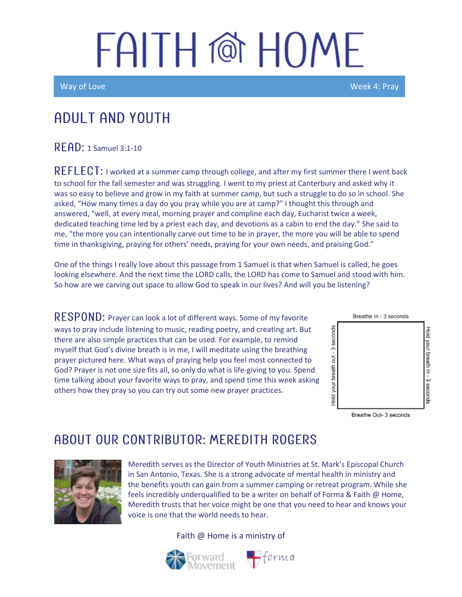## FAITH @ HOME

Way of Love Week 4: Pray

### Adult and youth

 $R$  $F$  $A$  $D$ : 1 Samuel 3:1-10

REFLECT: I worked at a summer camp through college, and after my first summer there I went back to school for the fall semester and was struggling. I went to my priest at Canterbury and asked why it was so easy to believe and grow in my faith at summer camp, but such a struggle to do so in school. She asked, "How many times a day do you pray while you are at camp?" I thought this through and answered, "well, at every meal, morning prayer and compline each day, Eucharist twice a week, dedicated teaching time led by a priest each day, and devotions as a cabin to end the day." She said to me, "the more you can intentionally carve out time to be in prayer, the more you will be able to spend time in thanksgiving, praying for others' needs, praying for your own needs, and praising God."

One of the things I really love about this passage from 1 Samuel is that when Samuel is called, he goes looking elsewhere. And the next time the LORD calls, the LORD has come to Samuel and stood with him. So how are we carving out space to allow God to speak in our lives? And will you be listening?

RESPOND: Prayer can look a lot of different ways. Some of my favorite ways to pray include listening to music, reading poetry, and creating art. But there are also simple practices that can be used. For example, to remind myself that God's divine breath is in me, I will meditate using the breathing prayer pictured here. What ways of praying help you feel most connected to God? Prayer is not one size fits all, so only do what is life-giving to you. Spend time talking about your favorite ways to pray, and spend time this week asking others how they pray so you can try out some new prayer practices.



Breathe Out- 3 seconds

### A BOUT OUR CONTRIBUTOR: MEREDITH ROGERS



Meredith serves as the Director of Youth Ministries at St. Mark's Episcopal Church in San Antonio, Texas. She is a strong advocate of mental health in ministry and the benefits youth can gain from a summer camping or retreat program. While she feels incredibly underqualified to be a writer on behalf of Forma & Faith @ Home, Meredith trusts that her voice might be one that you need to hear and knows your voice is one that the world needs to hear.